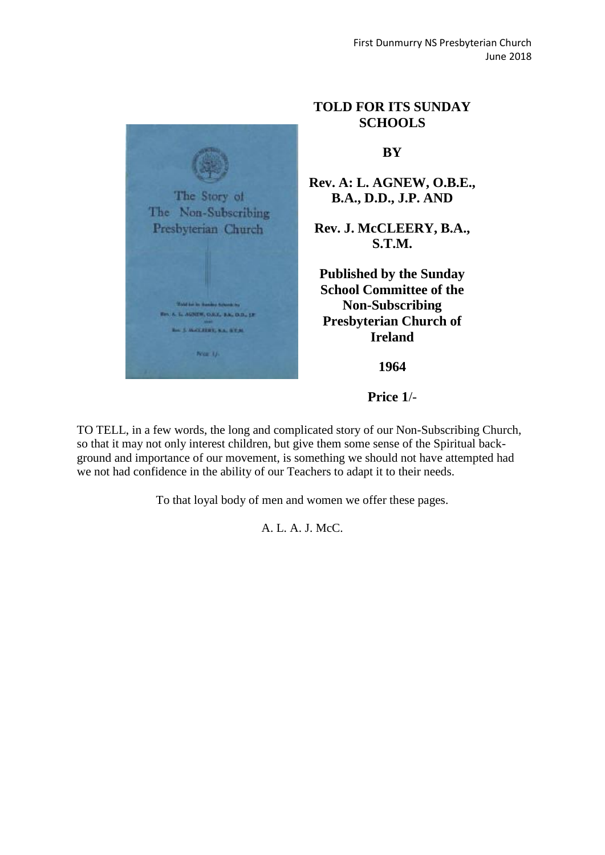

# **TOLD FOR ITS SUNDAY SCHOOLS**

**BY**

**Rev. A: L. AGNEW, O.B.E., B.A., D.D., J.P. AND**

**Rev. J. McCLEERY, B.A., S.T.M.**

**Published by the Sunday School Committee of the Non-Subscribing Presbyterian Church of Ireland**

**1964**

**Price 1**/-

TO TELL, in a few words, the long and complicated story of our Non-Subscribing Church, so that it may not only interest children, but give them some sense of the Spiritual background and importance of our movement, is something we should not have attempted had we not had confidence in the ability of our Teachers to adapt it to their needs.

To that loyal body of men and women we offer these pages.

A. L. A. J. McC.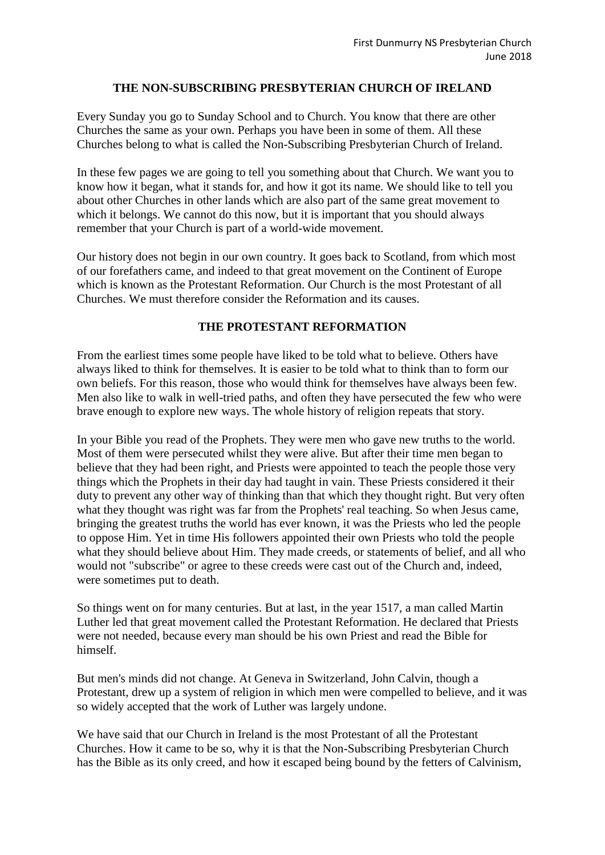### **THE NON-SUBSCRIBING PRESBYTERIAN CHURCH OF IRELAND**

Every Sunday you go to Sunday School and to Church. You know that there are other Churches the same as your own. Perhaps you have been in some of them. All these Churches belong to what is called the Non-Subscribing Presbyterian Church of Ireland.

In these few pages we are going to tell you something about that Church. We want you to know how it began, what it stands for, and how it got its name. We should like to tell you about other Churches in other lands which are also part of the same great movement to which it belongs. We cannot do this now, but it is important that you should always remember that your Church is part of a world-wide movement.

Our history does not begin in our own country. It goes back to Scotland, from which most of our forefathers came, and indeed to that great movement on the Continent of Europe which is known as the Protestant Reformation. Our Church is the most Protestant of all Churches. We must therefore consider the Reformation and its causes.

#### **THE PROTESTANT REFORMATION**

From the earliest times some people have liked to be told what to believe. Others have always liked to think for themselves. It is easier to be told what to think than to form our own beliefs. For this reason, those who would think for themselves have always been few. Men also like to walk in well-tried paths, and often they have persecuted the few who were brave enough to explore new ways. The whole history of religion repeats that story.

In your Bible you read of the Prophets. They were men who gave new truths to the world. Most of them were persecuted whilst they were alive. But after their time men began to believe that they had been right, and Priests were appointed to teach the people those very things which the Prophets in their day had taught in vain. These Priests considered it their duty to prevent any other way of thinking than that which they thought right. But very often what they thought was right was far from the Prophets' real teaching. So when Jesus came, bringing the greatest truths the world has ever known, it was the Priests who led the people to oppose Him. Yet in time His followers appointed their own Priests who told the people what they should believe about Him. They made creeds, or statements of belief, and all who would not "subscribe" or agree to these creeds were cast out of the Church and, indeed, were sometimes put to death.

So things went on for many centuries. But at last, in the year 1517, a man called Martin Luther led that great movement called the Protestant Reformation. He declared that Priests were not needed, because every man should be his own Priest and read the Bible for himself.

But men's minds did not change. At Geneva in Switzerland, John Calvin, though a Protestant, drew up a system of religion in which men were compelled to believe, and it was so widely accepted that the work of Luther was largely undone.

We have said that our Church in Ireland is the most Protestant of all the Protestant Churches. How it came to be so, why it is that the Non-Subscribing Presbyterian Church has the Bible as its only creed, and how it escaped being bound by the fetters of Calvinism,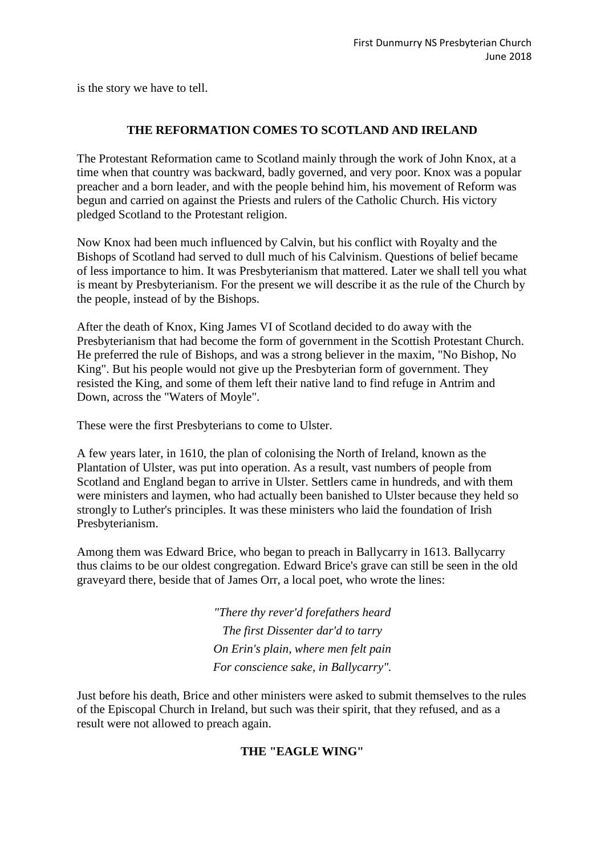is the story we have to tell.

# **THE REFORMATION COMES TO SCOTLAND AND IRELAND**

The Protestant Reformation came to Scotland mainly through the work of John Knox, at a time when that country was backward, badly governed, and very poor. Knox was a popular preacher and a born leader, and with the people behind him, his movement of Reform was begun and carried on against the Priests and rulers of the Catholic Church. His victory pledged Scotland to the Protestant religion.

Now Knox had been much influenced by Calvin, but his conflict with Royalty and the Bishops of Scotland had served to dull much of his Calvinism. Questions of belief became of less importance to him. It was Presbyterianism that mattered. Later we shall tell you what is meant by Presbyterianism. For the present we will describe it as the rule of the Church by the people, instead of by the Bishops.

After the death of Knox, King James VI of Scotland decided to do away with the Presbyterianism that had become the form of government in the Scottish Protestant Church. He preferred the rule of Bishops, and was a strong believer in the maxim, "No Bishop, No King". But his people would not give up the Presbyterian form of government. They resisted the King, and some of them left their native land to find refuge in Antrim and Down, across the "Waters of Moyle".

These were the first Presbyterians to come to Ulster.

A few years later, in 1610, the plan of colonising the North of Ireland, known as the Plantation of Ulster, was put into operation. As a result, vast numbers of people from Scotland and England began to arrive in Ulster. Settlers came in hundreds, and with them were ministers and laymen, who had actually been banished to Ulster because they held so strongly to Luther's principles. It was these ministers who laid the foundation of Irish Presbyterianism.

Among them was Edward Brice, who began to preach in Ballycarry in 1613. Ballycarry thus claims to be our oldest congregation. Edward Brice's grave can still be seen in the old graveyard there, beside that of James Orr, a local poet, who wrote the lines:

> *"There thy rever'd forefathers heard The first Dissenter dar'd to tarry On Erin's plain, where men felt pain For conscience sake, in Ballycarry".*

Just before his death, Brice and other ministers were asked to submit themselves to the rules of the Episcopal Church in Ireland, but such was their spirit, that they refused, and as a result were not allowed to preach again.

# **THE "EAGLE WING"**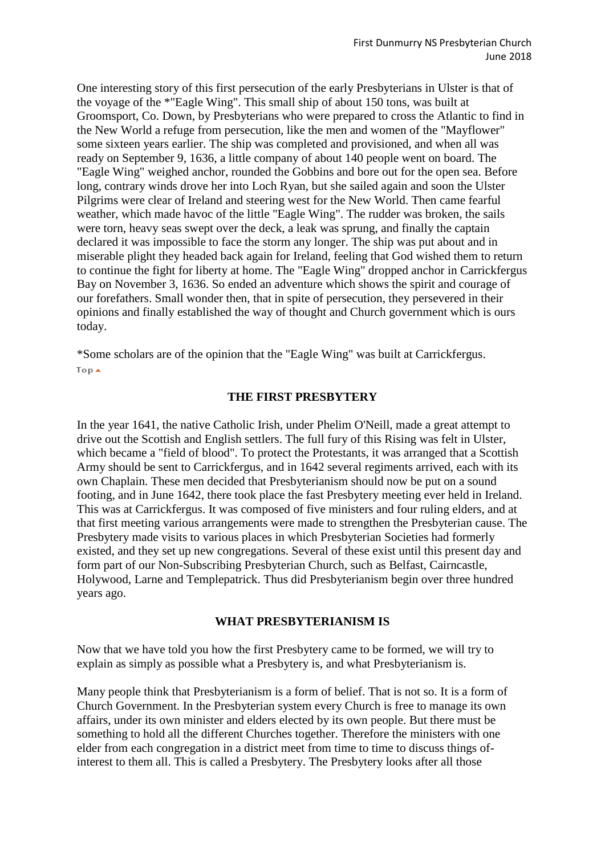One interesting story of this first persecution of the early Presbyterians in Ulster is that of the voyage of the \*"Eagle Wing". This small ship of about 150 tons, was built at Groomsport, Co. Down, by Presbyterians who were prepared to cross the Atlantic to find in the New World a refuge from persecution, like the men and women of the "Mayflower" some sixteen years earlier. The ship was completed and provisioned, and when all was ready on September 9, 1636, a little company of about 140 people went on board. The "Eagle Wing" weighed anchor, rounded the Gobbins and bore out for the open sea. Before long, contrary winds drove her into Loch Ryan, but she sailed again and soon the Ulster Pilgrims were clear of Ireland and steering west for the New World. Then came fearful weather, which made havoc of the little "Eagle Wing". The rudder was broken, the sails were torn, heavy seas swept over the deck, a leak was sprung, and finally the captain declared it was impossible to face the storm any longer. The ship was put about and in miserable plight they headed back again for Ireland, feeling that God wished them to return to continue the fight for liberty at home. The "Eagle Wing" dropped anchor in Carrickfergus Bay on November 3, 1636. So ended an adventure which shows the spirit and courage of our forefathers. Small wonder then, that in spite of persecution, they persevered in their opinions and finally established the way of thought and Church government which is ours today.

\*Some scholars are of the opinion that the "Eagle Wing" was built at Carrickfergus.  $Top \triangle$ 

#### **THE FIRST PRESBYTERY**

In the year 1641, the native Catholic Irish, under Phelim O'Neill, made a great attempt to drive out the Scottish and English settlers. The full fury of this Rising was felt in Ulster, which became a "field of blood". To protect the Protestants, it was arranged that a Scottish Army should be sent to Carrickfergus, and in 1642 several regiments arrived, each with its own Chaplain. These men decided that Presbyterianism should now be put on a sound footing, and in June 1642, there took place the fast Presbytery meeting ever held in Ireland. This was at Carrickfergus. It was composed of five ministers and four ruling elders, and at that first meeting various arrangements were made to strengthen the Presbyterian cause. The Presbytery made visits to various places in which Presbyterian Societies had formerly existed, and they set up new congregations. Several of these exist until this present day and form part of our Non-Subscribing Presbyterian Church, such as Belfast, Cairncastle, Holywood, Larne and Templepatrick. Thus did Presbyterianism begin over three hundred years ago.

#### **WHAT PRESBYTERIANISM IS**

Now that we have told you how the first Presbytery came to be formed, we will try to explain as simply as possible what a Presbytery is, and what Presbyterianism is.

Many people think that Presbyterianism is a form of belief. That is not so. It is a form of Church Government. In the Presbyterian system every Church is free to manage its own affairs, under its own minister and elders elected by its own people. But there must be something to hold all the different Churches together. Therefore the ministers with one elder from each congregation in a district meet from time to time to discuss things ofinterest to them all. This is called a Presbytery. The Presbytery looks after all those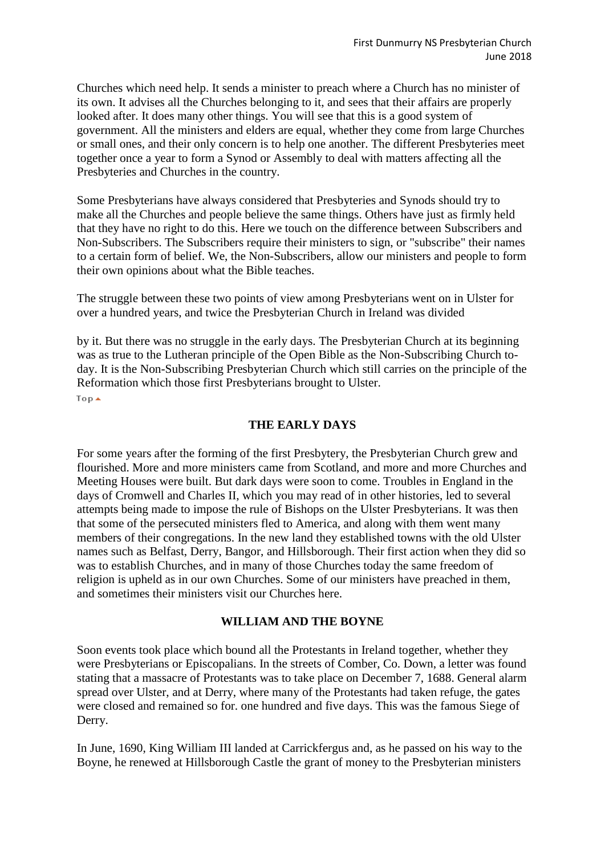Churches which need help. It sends a minister to preach where a Church has no minister of its own. It advises all the Churches belonging to it, and sees that their affairs are properly looked after. It does many other things. You will see that this is a good system of government. All the ministers and elders are equal, whether they come from large Churches or small ones, and their only concern is to help one another. The different Presbyteries meet together once a year to form a Synod or Assembly to deal with matters affecting all the Presbyteries and Churches in the country.

Some Presbyterians have always considered that Presbyteries and Synods should try to make all the Churches and people believe the same things. Others have just as firmly held that they have no right to do this. Here we touch on the difference between Subscribers and Non-Subscribers. The Subscribers require their ministers to sign, or "subscribe" their names to a certain form of belief. We, the Non-Subscribers, allow our ministers and people to form their own opinions about what the Bible teaches.

The struggle between these two points of view among Presbyterians went on in Ulster for over a hundred years, and twice the Presbyterian Church in Ireland was divided

by it. But there was no struggle in the early days. The Presbyterian Church at its beginning was as true to the Lutheran principle of the Open Bible as the Non-Subscribing Church today. It is the Non-Subscribing Presbyterian Church which still carries on the principle of the Reformation which those first Presbyterians brought to Ulster.  $Top \triangle$ 

### **THE EARLY DAYS**

For some years after the forming of the first Presbytery, the Presbyterian Church grew and flourished. More and more ministers came from Scotland, and more and more Churches and Meeting Houses were built. But dark days were soon to come. Troubles in England in the days of Cromwell and Charles II, which you may read of in other histories, led to several attempts being made to impose the rule of Bishops on the Ulster Presbyterians. It was then that some of the persecuted ministers fled to America, and along with them went many members of their congregations. In the new land they established towns with the old Ulster names such as Belfast, Derry, Bangor, and Hillsborough. Their first action when they did so was to establish Churches, and in many of those Churches today the same freedom of religion is upheld as in our own Churches. Some of our ministers have preached in them, and sometimes their ministers visit our Churches here.

#### **WILLIAM AND THE BOYNE**

Soon events took place which bound all the Protestants in Ireland together, whether they were Presbyterians or Episcopalians. In the streets of Comber, Co. Down, a letter was found stating that a massacre of Protestants was to take place on December 7, 1688. General alarm spread over Ulster, and at Derry, where many of the Protestants had taken refuge, the gates were closed and remained so for. one hundred and five days. This was the famous Siege of Derry.

In June, 1690, King William III landed at Carrickfergus and, as he passed on his way to the Boyne, he renewed at Hillsborough Castle the grant of money to the Presbyterian ministers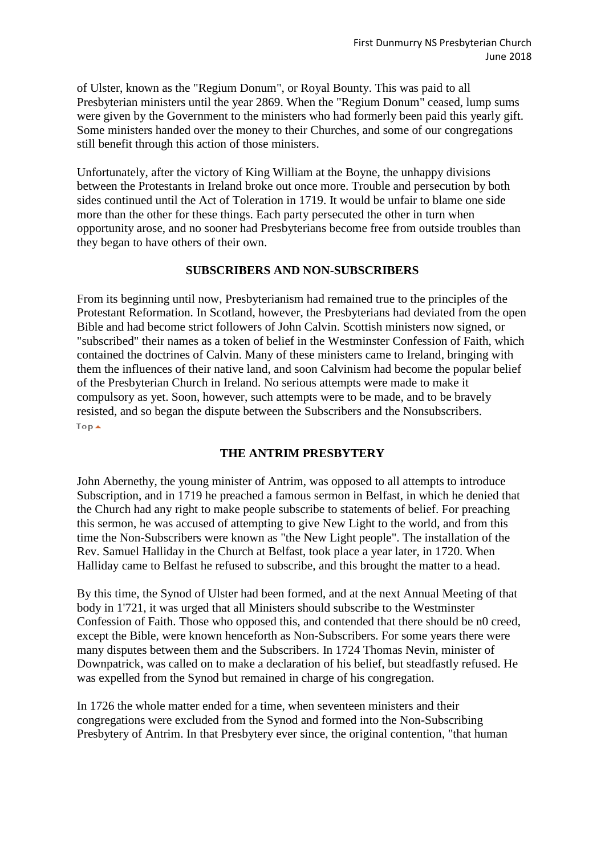of Ulster, known as the "Regium Donum", or Royal Bounty. This was paid to all Presbyterian ministers until the year 2869. When the "Regium Donum" ceased, lump sums were given by the Government to the ministers who had formerly been paid this yearly gift. Some ministers handed over the money to their Churches, and some of our congregations still benefit through this action of those ministers.

Unfortunately, after the victory of King William at the Boyne, the unhappy divisions between the Protestants in Ireland broke out once more. Trouble and persecution by both sides continued until the Act of Toleration in 1719. It would be unfair to blame one side more than the other for these things. Each party persecuted the other in turn when opportunity arose, and no sooner had Presbyterians become free from outside troubles than they began to have others of their own.

### **SUBSCRIBERS AND NON-SUBSCRIBERS**

From its beginning until now, Presbyterianism had remained true to the principles of the Protestant Reformation. In Scotland, however, the Presbyterians had deviated from the open Bible and had become strict followers of John Calvin. Scottish ministers now signed, or "subscribed" their names as a token of belief in the Westminster Confession of Faith, which contained the doctrines of Calvin. Many of these ministers came to Ireland, bringing with them the influences of their native land, and soon Calvinism had become the popular belief of the Presbyterian Church in Ireland. No serious attempts were made to make it compulsory as yet. Soon, however, such attempts were to be made, and to be bravely resisted, and so began the dispute between the Subscribers and the Nonsubscribers. Top  $\triangle$ 

# **THE ANTRIM PRESBYTERY**

John Abernethy, the young minister of Antrim, was opposed to all attempts to introduce Subscription, and in 1719 he preached a famous sermon in Belfast, in which he denied that the Church had any right to make people subscribe to statements of belief. For preaching this sermon, he was accused of attempting to give New Light to the world, and from this time the Non-Subscribers were known as "the New Light people". The installation of the Rev. Samuel Halliday in the Church at Belfast, took place a year later, in 1720. When Halliday came to Belfast he refused to subscribe, and this brought the matter to a head.

By this time, the Synod of Ulster had been formed, and at the next Annual Meeting of that body in 1'721, it was urged that all Ministers should subscribe to the Westminster Confession of Faith. Those who opposed this, and contended that there should be n0 creed, except the Bible, were known henceforth as Non-Subscribers. For some years there were many disputes between them and the Subscribers. In 1724 Thomas Nevin, minister of Downpatrick, was called on to make a declaration of his belief, but steadfastly refused. He was expelled from the Synod but remained in charge of his congregation.

In 1726 the whole matter ended for a time, when seventeen ministers and their congregations were excluded from the Synod and formed into the Non-Subscribing Presbytery of Antrim. In that Presbytery ever since, the original contention, "that human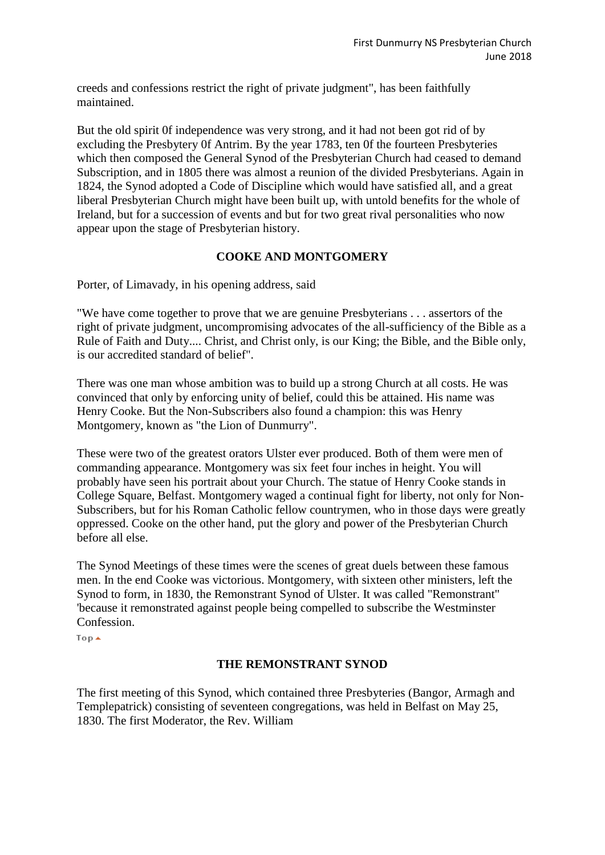creeds and confessions restrict the right of private judgment", has been faithfully maintained.

But the old spirit 0f independence was very strong, and it had not been got rid of by excluding the Presbytery 0f Antrim. By the year 1783, ten 0f the fourteen Presbyteries which then composed the General Synod of the Presbyterian Church had ceased to demand Subscription, and in 1805 there was almost a reunion of the divided Presbyterians. Again in 1824, the Synod adopted a Code of Discipline which would have satisfied all, and a great liberal Presbyterian Church might have been built up, with untold benefits for the whole of Ireland, but for a succession of events and but for two great rival personalities who now appear upon the stage of Presbyterian history.

### **COOKE AND MONTGOMERY**

Porter, of Limavady, in his opening address, said

"We have come together to prove that we are genuine Presbyterians . . . assertors of the right of private judgment, uncompromising advocates of the all-sufficiency of the Bible as a Rule of Faith and Duty.... Christ, and Christ only, is our King; the Bible, and the Bible only, is our accredited standard of belief".

There was one man whose ambition was to build up a strong Church at all costs. He was convinced that only by enforcing unity of belief, could this be attained. His name was Henry Cooke. But the Non-Subscribers also found a champion: this was Henry Montgomery, known as "the Lion of Dunmurry".

These were two of the greatest orators Ulster ever produced. Both of them were men of commanding appearance. Montgomery was six feet four inches in height. You will probably have seen his portrait about your Church. The statue of Henry Cooke stands in College Square, Belfast. Montgomery waged a continual fight for liberty, not only for Non-Subscribers, but for his Roman Catholic fellow countrymen, who in those days were greatly oppressed. Cooke on the other hand, put the glory and power of the Presbyterian Church before all else.

The Synod Meetings of these times were the scenes of great duels between these famous men. In the end Cooke was victorious. Montgomery, with sixteen other ministers, left the Synod to form, in 1830, the Remonstrant Synod of Ulster. It was called "Remonstrant" 'because it remonstrated against people being compelled to subscribe the Westminster Confession.

 $Top \triangle$ 

#### **THE REMONSTRANT SYNOD**

The first meeting of this Synod, which contained three Presbyteries (Bangor, Armagh and Templepatrick) consisting of seventeen congregations, was held in Belfast on May 25, 1830. The first Moderator, the Rev. William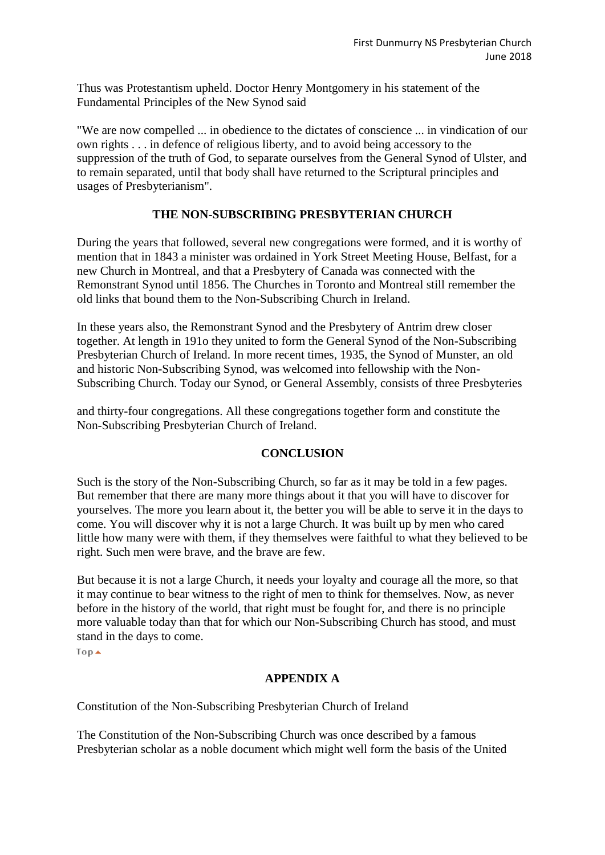Thus was Protestantism upheld. Doctor Henry Montgomery in his statement of the Fundamental Principles of the New Synod said

"We are now compelled ... in obedience to the dictates of conscience ... in vindication of our own rights . . . in defence of religious liberty, and to avoid being accessory to the suppression of the truth of God, to separate ourselves from the General Synod of Ulster, and to remain separated, until that body shall have returned to the Scriptural principles and usages of Presbyterianism".

### **THE NON-SUBSCRIBING PRESBYTERIAN CHURCH**

During the years that followed, several new congregations were formed, and it is worthy of mention that in 1843 a minister was ordained in York Street Meeting House, Belfast, for a new Church in Montreal, and that a Presbytery of Canada was connected with the Remonstrant Synod until 1856. The Churches in Toronto and Montreal still remember the old links that bound them to the Non-Subscribing Church in Ireland.

In these years also, the Remonstrant Synod and the Presbytery of Antrim drew closer together. At length in 191o they united to form the General Synod of the Non-Subscribing Presbyterian Church of Ireland. In more recent times, 1935, the Synod of Munster, an old and historic Non-Subscribing Synod, was welcomed into fellowship with the Non-Subscribing Church. Today our Synod, or General Assembly, consists of three Presbyteries

and thirty-four congregations. All these congregations together form and constitute the Non-Subscribing Presbyterian Church of Ireland.

# **CONCLUSION**

Such is the story of the Non-Subscribing Church, so far as it may be told in a few pages. But remember that there are many more things about it that you will have to discover for yourselves. The more you learn about it, the better you will be able to serve it in the days to come. You will discover why it is not a large Church. It was built up by men who cared little how many were with them, if they themselves were faithful to what they believed to be right. Such men were brave, and the brave are few.

But because it is not a large Church, it needs your loyalty and courage all the more, so that it may continue to bear witness to the right of men to think for themselves. Now, as never before in the history of the world, that right must be fought for, and there is no principle more valuable today than that for which our Non-Subscribing Church has stood, and must stand in the days to come.

 $Top \triangle$ 

# **APPENDIX A**

Constitution of the Non-Subscribing Presbyterian Church of Ireland

The Constitution of the Non-Subscribing Church was once described by a famous Presbyterian scholar as a noble document which might well form the basis of the United